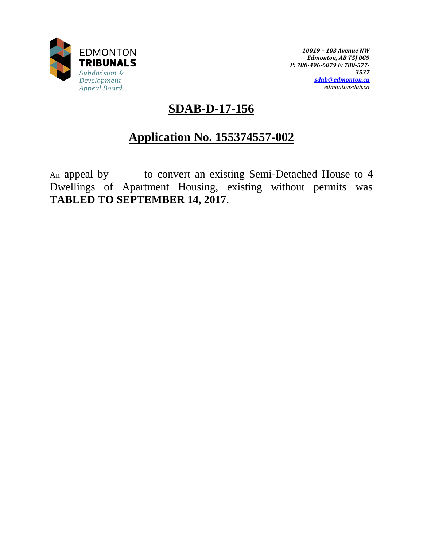

*10019 – 103 Avenue NW Edmonton, AB T5J 0G9 P: 780-496-6079 F: 780-577- 3537 [sdab@edmonton.ca](mailto:sdab@edmonton.ca) edmontonsdab.ca*

## **SDAB-D-17-156**

# **Application No. 155374557-002**

An appeal by to convert an existing Semi-Detached House to 4 Dwellings of Apartment Housing, existing without permits was **TABLED TO SEPTEMBER 14, 2017**.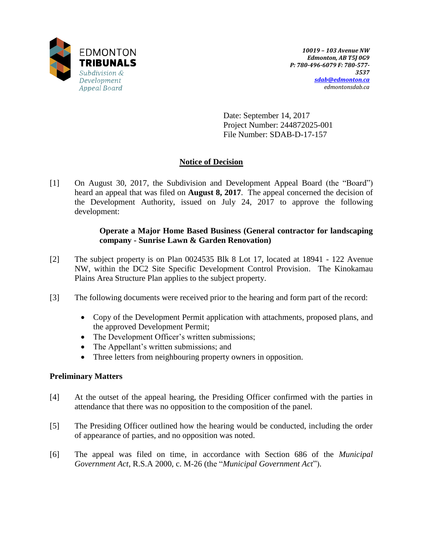

Date: September 14, 2017 Project Number: 244872025-001 File Number: SDAB-D-17-157

## **Notice of Decision**

[1] On August 30, 2017, the Subdivision and Development Appeal Board (the "Board") heard an appeal that was filed on **August 8, 2017**. The appeal concerned the decision of the Development Authority, issued on July 24, 2017 to approve the following development:

## **Operate a Major Home Based Business (General contractor for landscaping company - Sunrise Lawn & Garden Renovation)**

- [2] The subject property is on Plan 0024535 Blk 8 Lot 17, located at 18941 122 Avenue NW, within the DC2 Site Specific Development Control Provision. The Kinokamau Plains Area Structure Plan applies to the subject property.
- [3] The following documents were received prior to the hearing and form part of the record:
	- Copy of the Development Permit application with attachments, proposed plans, and the approved Development Permit;
	- The Development Officer's written submissions;
	- The Appellant's written submissions; and
	- Three letters from neighbouring property owners in opposition.

### **Preliminary Matters**

- [4] At the outset of the appeal hearing, the Presiding Officer confirmed with the parties in attendance that there was no opposition to the composition of the panel.
- [5] The Presiding Officer outlined how the hearing would be conducted, including the order of appearance of parties, and no opposition was noted.
- [6] The appeal was filed on time, in accordance with Section 686 of the *Municipal Government Act*, R.S.A 2000, c. M-26 (the "*Municipal Government Act*").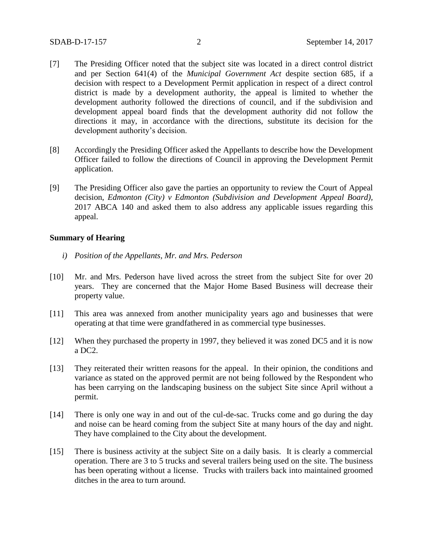- [7] The Presiding Officer noted that the subject site was located in a direct control district and per Section 641(4) of the *Municipal Government Act* despite section 685, if a decision with respect to a Development Permit application in respect of a direct control district is made by a development authority, the appeal is limited to whether the development authority followed the directions of council, and if the subdivision and development appeal board finds that the development authority did not follow the directions it may, in accordance with the directions, substitute its decision for the development authority's decision.
- [8] Accordingly the Presiding Officer asked the Appellants to describe how the Development Officer failed to follow the directions of Council in approving the Development Permit application.
- [9] The Presiding Officer also gave the parties an opportunity to review the Court of Appeal decision, *Edmonton (City) v Edmonton (Subdivision and Development Appeal Board),*  2017 ABCA 140 and asked them to also address any applicable issues regarding this appeal.

#### **Summary of Hearing**

- *i) Position of the Appellants, Mr. and Mrs. Pederson*
- [10] Mr. and Mrs. Pederson have lived across the street from the subject Site for over 20 years. They are concerned that the Major Home Based Business will decrease their property value.
- [11] This area was annexed from another municipality years ago and businesses that were operating at that time were grandfathered in as commercial type businesses.
- [12] When they purchased the property in 1997, they believed it was zoned DC5 and it is now a DC2.
- [13] They reiterated their written reasons for the appeal. In their opinion, the conditions and variance as stated on the approved permit are not being followed by the Respondent who has been carrying on the landscaping business on the subject Site since April without a permit.
- [14] There is only one way in and out of the cul-de-sac. Trucks come and go during the day and noise can be heard coming from the subject Site at many hours of the day and night. They have complained to the City about the development.
- [15] There is business activity at the subject Site on a daily basis. It is clearly a commercial operation. There are 3 to 5 trucks and several trailers being used on the site. The business has been operating without a license. Trucks with trailers back into maintained groomed ditches in the area to turn around.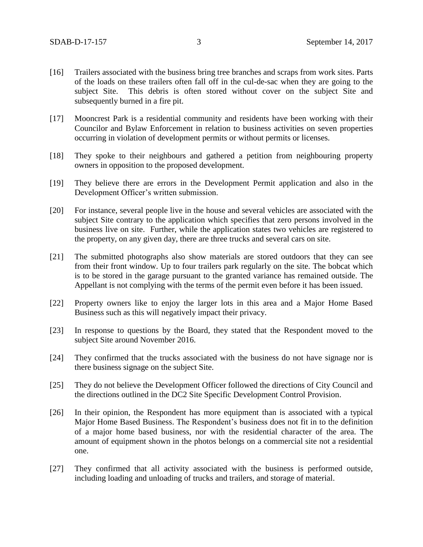- [16] Trailers associated with the business bring tree branches and scraps from work sites. Parts of the loads on these trailers often fall off in the cul-de-sac when they are going to the subject Site. This debris is often stored without cover on the subject Site and subsequently burned in a fire pit.
- [17] Mooncrest Park is a residential community and residents have been working with their Councilor and Bylaw Enforcement in relation to business activities on seven properties occurring in violation of development permits or without permits or licenses.
- [18] They spoke to their neighbours and gathered a petition from neighbouring property owners in opposition to the proposed development.
- [19] They believe there are errors in the Development Permit application and also in the Development Officer's written submission.
- [20] For instance, several people live in the house and several vehicles are associated with the subject Site contrary to the application which specifies that zero persons involved in the business live on site. Further, while the application states two vehicles are registered to the property, on any given day, there are three trucks and several cars on site.
- [21] The submitted photographs also show materials are stored outdoors that they can see from their front window. Up to four trailers park regularly on the site. The bobcat which is to be stored in the garage pursuant to the granted variance has remained outside. The Appellant is not complying with the terms of the permit even before it has been issued.
- [22] Property owners like to enjoy the larger lots in this area and a Major Home Based Business such as this will negatively impact their privacy.
- [23] In response to questions by the Board, they stated that the Respondent moved to the subject Site around November 2016.
- [24] They confirmed that the trucks associated with the business do not have signage nor is there business signage on the subject Site.
- [25] They do not believe the Development Officer followed the directions of City Council and the directions outlined in the DC2 Site Specific Development Control Provision.
- [26] In their opinion, the Respondent has more equipment than is associated with a typical Major Home Based Business. The Respondent's business does not fit in to the definition of a major home based business, nor with the residential character of the area. The amount of equipment shown in the photos belongs on a commercial site not a residential one.
- [27] They confirmed that all activity associated with the business is performed outside, including loading and unloading of trucks and trailers, and storage of material.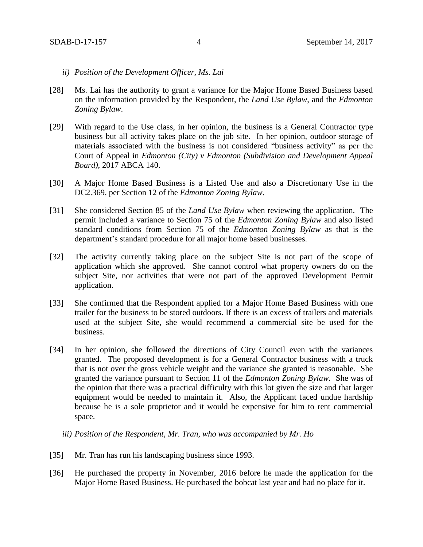- *ii) Position of the Development Officer, Ms. Lai*
- [28] Ms. Lai has the authority to grant a variance for the Major Home Based Business based on the information provided by the Respondent, the *Land Use Bylaw*, and the *Edmonton Zoning Bylaw*.
- [29] With regard to the Use class, in her opinion, the business is a General Contractor type business but all activity takes place on the job site. In her opinion, outdoor storage of materials associated with the business is not considered "business activity" as per the Court of Appeal in *Edmonton (City) v Edmonton (Subdivision and Development Appeal Board),* 2017 ABCA 140.
- [30] A Major Home Based Business is a Listed Use and also a Discretionary Use in the DC2.369, per Section 12 of the *Edmonton Zoning Bylaw*.
- [31] She considered Section 85 of the *Land Use Bylaw* when reviewing the application. The permit included a variance to Section 75 of the *Edmonton Zoning Bylaw* and also listed standard conditions from Section 75 of the *Edmonton Zoning Bylaw* as that is the department's standard procedure for all major home based businesses.
- [32] The activity currently taking place on the subject Site is not part of the scope of application which she approved. She cannot control what property owners do on the subject Site, nor activities that were not part of the approved Development Permit application.
- [33] She confirmed that the Respondent applied for a Major Home Based Business with one trailer for the business to be stored outdoors. If there is an excess of trailers and materials used at the subject Site, she would recommend a commercial site be used for the business.
- [34] In her opinion, she followed the directions of City Council even with the variances granted. The proposed development is for a General Contractor business with a truck that is not over the gross vehicle weight and the variance she granted is reasonable. She granted the variance pursuant to Section 11 of the *Edmonton Zoning Bylaw.* She was of the opinion that there was a practical difficulty with this lot given the size and that larger equipment would be needed to maintain it. Also, the Applicant faced undue hardship because he is a sole proprietor and it would be expensive for him to rent commercial space.

*iii) Position of the Respondent, Mr. Tran, who was accompanied by Mr. Ho* 

- [35] Mr. Tran has run his landscaping business since 1993.
- [36] He purchased the property in November, 2016 before he made the application for the Major Home Based Business. He purchased the bobcat last year and had no place for it.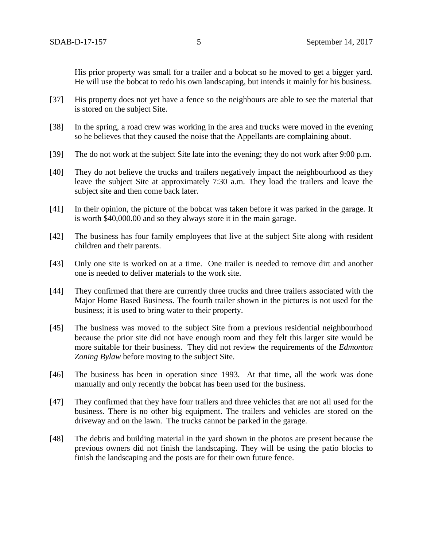His prior property was small for a trailer and a bobcat so he moved to get a bigger yard. He will use the bobcat to redo his own landscaping, but intends it mainly for his business.

- [37] His property does not yet have a fence so the neighbours are able to see the material that is stored on the subject Site.
- [38] In the spring, a road crew was working in the area and trucks were moved in the evening so he believes that they caused the noise that the Appellants are complaining about.
- [39] The do not work at the subject Site late into the evening; they do not work after 9:00 p.m.
- [40] They do not believe the trucks and trailers negatively impact the neighbourhood as they leave the subject Site at approximately 7:30 a.m. They load the trailers and leave the subject site and then come back later.
- [41] In their opinion, the picture of the bobcat was taken before it was parked in the garage. It is worth \$40,000.00 and so they always store it in the main garage.
- [42] The business has four family employees that live at the subject Site along with resident children and their parents.
- [43] Only one site is worked on at a time. One trailer is needed to remove dirt and another one is needed to deliver materials to the work site.
- [44] They confirmed that there are currently three trucks and three trailers associated with the Major Home Based Business. The fourth trailer shown in the pictures is not used for the business; it is used to bring water to their property.
- [45] The business was moved to the subject Site from a previous residential neighbourhood because the prior site did not have enough room and they felt this larger site would be more suitable for their business. They did not review the requirements of the *Edmonton Zoning Bylaw* before moving to the subject Site.
- [46] The business has been in operation since 1993. At that time, all the work was done manually and only recently the bobcat has been used for the business.
- [47] They confirmed that they have four trailers and three vehicles that are not all used for the business. There is no other big equipment. The trailers and vehicles are stored on the driveway and on the lawn. The trucks cannot be parked in the garage.
- [48] The debris and building material in the yard shown in the photos are present because the previous owners did not finish the landscaping. They will be using the patio blocks to finish the landscaping and the posts are for their own future fence.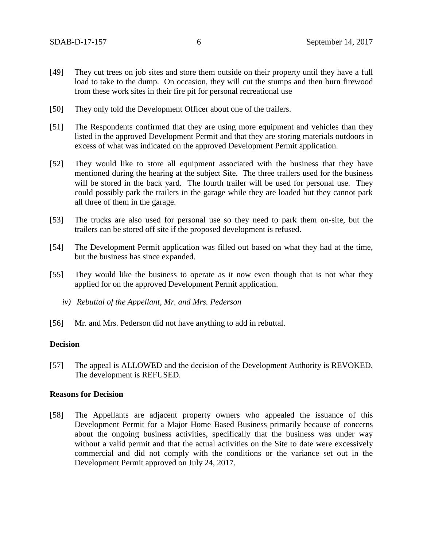- [49] They cut trees on job sites and store them outside on their property until they have a full load to take to the dump. On occasion, they will cut the stumps and then burn firewood from these work sites in their fire pit for personal recreational use
- [50] They only told the Development Officer about one of the trailers.
- [51] The Respondents confirmed that they are using more equipment and vehicles than they listed in the approved Development Permit and that they are storing materials outdoors in excess of what was indicated on the approved Development Permit application.
- [52] They would like to store all equipment associated with the business that they have mentioned during the hearing at the subject Site. The three trailers used for the business will be stored in the back yard. The fourth trailer will be used for personal use. They could possibly park the trailers in the garage while they are loaded but they cannot park all three of them in the garage.
- [53] The trucks are also used for personal use so they need to park them on-site, but the trailers can be stored off site if the proposed development is refused.
- [54] The Development Permit application was filled out based on what they had at the time, but the business has since expanded.
- [55] They would like the business to operate as it now even though that is not what they applied for on the approved Development Permit application.
	- *iv) Rebuttal of the Appellant, Mr. and Mrs. Pederson*
- [56] Mr. and Mrs. Pederson did not have anything to add in rebuttal.

#### **Decision**

[57] The appeal is ALLOWED and the decision of the Development Authority is REVOKED. The development is REFUSED.

#### **Reasons for Decision**

[58] The Appellants are adjacent property owners who appealed the issuance of this Development Permit for a Major Home Based Business primarily because of concerns about the ongoing business activities, specifically that the business was under way without a valid permit and that the actual activities on the Site to date were excessively commercial and did not comply with the conditions or the variance set out in the Development Permit approved on July 24, 2017.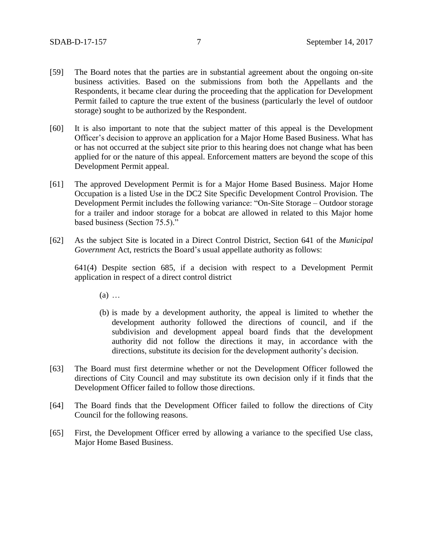- [59] The Board notes that the parties are in substantial agreement about the ongoing on-site business activities. Based on the submissions from both the Appellants and the Respondents, it became clear during the proceeding that the application for Development Permit failed to capture the true extent of the business (particularly the level of outdoor storage) sought to be authorized by the Respondent.
- [60] It is also important to note that the subject matter of this appeal is the Development Officer's decision to approve an application for a Major Home Based Business. What has or has not occurred at the subject site prior to this hearing does not change what has been applied for or the nature of this appeal. Enforcement matters are beyond the scope of this Development Permit appeal.
- [61] The approved Development Permit is for a Major Home Based Business. Major Home Occupation is a listed Use in the DC2 Site Specific Development Control Provision. The Development Permit includes the following variance: "On-Site Storage – Outdoor storage for a trailer and indoor storage for a bobcat are allowed in related to this Major home based business (Section 75.5)."
- [62] As the subject Site is located in a Direct Control District, Section 641 of the *Municipal Government* Act, restricts the Board's usual appellate authority as follows:

641(4) Despite section 685, if a decision with respect to a Development Permit application in respect of a direct control district

 $(a)$  ...

- (b) is made by a development authority, the appeal is limited to whether the development authority followed the directions of council, and if the subdivision and development appeal board finds that the development authority did not follow the directions it may, in accordance with the directions, substitute its decision for the development authority's decision.
- [63] The Board must first determine whether or not the Development Officer followed the directions of City Council and may substitute its own decision only if it finds that the Development Officer failed to follow those directions.
- [64] The Board finds that the Development Officer failed to follow the directions of City Council for the following reasons.
- [65] First, the Development Officer erred by allowing a variance to the specified Use class, Major Home Based Business.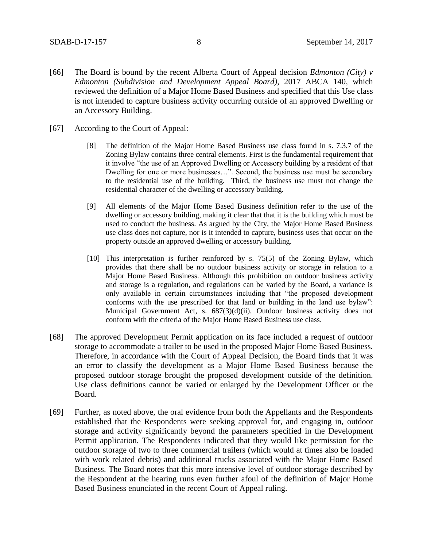- [66] The Board is bound by the recent Alberta Court of Appeal decision *Edmonton (City) v Edmonton (Subdivision and Development Appeal Board),* 2017 ABCA 140, which reviewed the definition of a Major Home Based Business and specified that this Use class is not intended to capture business activity occurring outside of an approved Dwelling or an Accessory Building.
- [67] According to the Court of Appeal:
	- [8] The definition of the Major Home Based Business use class found in s. 7.3.7 of the Zoning Bylaw contains three central elements. First is the fundamental requirement that it involve "the use of an Approved Dwelling or Accessory building by a resident of that Dwelling for one or more businesses…". Second, the business use must be secondary to the residential use of the building. Third, the business use must not change the residential character of the dwelling or accessory building.
	- [9] All elements of the Major Home Based Business definition refer to the use of the dwelling or accessory building, making it clear that that it is the building which must be used to conduct the business. As argued by the City, the Major Home Based Business use class does not capture, nor is it intended to capture, business uses that occur on the property outside an approved dwelling or accessory building.
	- [10] This interpretation is further reinforced by s. 75(5) of the Zoning Bylaw, which provides that there shall be no outdoor business activity or storage in relation to a Major Home Based Business. Although this prohibition on outdoor business activity and storage is a regulation, and regulations can be varied by the Board, a variance is only available in certain circumstances including that "the proposed development conforms with the use prescribed for that land or building in the land use bylaw": Municipal Government Act, s. 687(3)(d)(ii). Outdoor business activity does not conform with the criteria of the Major Home Based Business use class.
- [68] The approved Development Permit application on its face included a request of outdoor storage to accommodate a trailer to be used in the proposed Major Home Based Business. Therefore, in accordance with the Court of Appeal Decision, the Board finds that it was an error to classify the development as a Major Home Based Business because the proposed outdoor storage brought the proposed development outside of the definition. Use class definitions cannot be varied or enlarged by the Development Officer or the Board.
- [69] Further, as noted above, the oral evidence from both the Appellants and the Respondents established that the Respondents were seeking approval for, and engaging in, outdoor storage and activity significantly beyond the parameters specified in the Development Permit application. The Respondents indicated that they would like permission for the outdoor storage of two to three commercial trailers (which would at times also be loaded with work related debris) and additional trucks associated with the Major Home Based Business. The Board notes that this more intensive level of outdoor storage described by the Respondent at the hearing runs even further afoul of the definition of Major Home Based Business enunciated in the recent Court of Appeal ruling.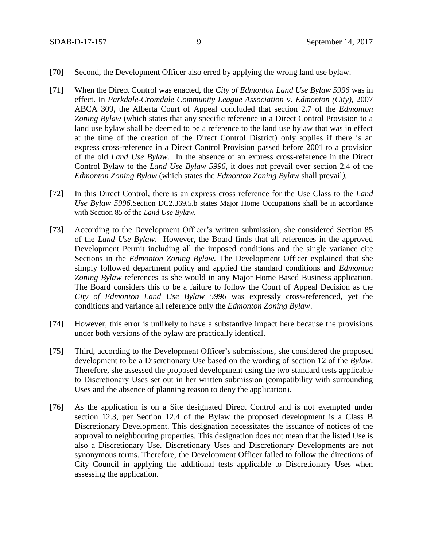- [70] Second, the Development Officer also erred by applying the wrong land use bylaw.
- [71] When the Direct Control was enacted, the *City of Edmonton Land Use Bylaw 5996* was in effect. In *Parkdale-Cromdale Community League Association* v. *Edmonton (City),* 2007 ABCA 309, the Alberta Court of Appeal concluded that section 2.7 of the *Edmonton Zoning Bylaw* (which states that any specific reference in a Direct Control Provision to a land use bylaw shall be deemed to be a reference to the land use bylaw that was in effect at the time of the creation of the Direct Control District) only applies if there is an express cross-reference in a Direct Control Provision passed before 2001 to a provision of the old *Land Use Bylaw.* In the absence of an express cross-reference in the Direct Control Bylaw to the *Land Use Bylaw 5996*, it does not prevail over section 2.4 of the *Edmonton Zoning Bylaw* (which states the *Edmonton Zoning Bylaw* shall prevail*).*
- [72] In this Direct Control, there is an express cross reference for the Use Class to the *Land Use Bylaw 5996*.Section DC2.369.5.b states Major Home Occupations shall be in accordance with Section 85 of the *Land Use Bylaw*.
- [73] According to the Development Officer's written submission, she considered Section 85 of the *Land Use Bylaw*. However, the Board finds that all references in the approved Development Permit including all the imposed conditions and the single variance cite Sections in the *Edmonton Zoning Bylaw.* The Development Officer explained that she simply followed department policy and applied the standard conditions and *Edmonton Zoning Bylaw* references as she would in any Major Home Based Business application. The Board considers this to be a failure to follow the Court of Appeal Decision as the *City of Edmonton Land Use Bylaw 5996* was expressly cross-referenced, yet the conditions and variance all reference only the *Edmonton Zoning Bylaw*.
- [74] However, this error is unlikely to have a substantive impact here because the provisions under both versions of the bylaw are practically identical.
- [75] Third, according to the Development Officer's submissions, she considered the proposed development to be a Discretionary Use based on the wording of section 12 of the *Bylaw*. Therefore, she assessed the proposed development using the two standard tests applicable to Discretionary Uses set out in her written submission (compatibility with surrounding Uses and the absence of planning reason to deny the application).
- [76] As the application is on a Site designated Direct Control and is not exempted under section 12.3, per Section 12.4 of the Bylaw the proposed development is a Class B Discretionary Development. This designation necessitates the issuance of notices of the approval to neighbouring properties. This designation does not mean that the listed Use is also a Discretionary Use. Discretionary Uses and Discretionary Developments are not synonymous terms. Therefore, the Development Officer failed to follow the directions of City Council in applying the additional tests applicable to Discretionary Uses when assessing the application.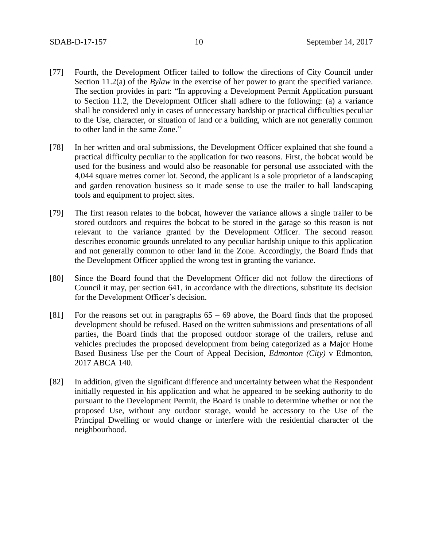- [77] Fourth, the Development Officer failed to follow the directions of City Council under Section 11.2(a) of the *Bylaw* in the exercise of her power to grant the specified variance. The section provides in part: "In approving a Development Permit Application pursuant to Section 11.2, the Development Officer shall adhere to the following: (a) a variance shall be considered only in cases of unnecessary hardship or practical difficulties peculiar to the Use, character, or situation of land or a building, which are not generally common to other land in the same Zone."
- [78] In her written and oral submissions, the Development Officer explained that she found a practical difficulty peculiar to the application for two reasons. First, the bobcat would be used for the business and would also be reasonable for personal use associated with the 4,044 square metres corner lot. Second, the applicant is a sole proprietor of a landscaping and garden renovation business so it made sense to use the trailer to hall landscaping tools and equipment to project sites.
- [79] The first reason relates to the bobcat, however the variance allows a single trailer to be stored outdoors and requires the bobcat to be stored in the garage so this reason is not relevant to the variance granted by the Development Officer. The second reason describes economic grounds unrelated to any peculiar hardship unique to this application and not generally common to other land in the Zone. Accordingly, the Board finds that the Development Officer applied the wrong test in granting the variance.
- [80] Since the Board found that the Development Officer did not follow the directions of Council it may, per section 641, in accordance with the directions, substitute its decision for the Development Officer's decision.
- [81] For the reasons set out in paragraphs 65 69 above, the Board finds that the proposed development should be refused. Based on the written submissions and presentations of all parties, the Board finds that the proposed outdoor storage of the trailers, refuse and vehicles precludes the proposed development from being categorized as a Major Home Based Business Use per the Court of Appeal Decision, *Edmonton (City)* v Edmonton, 2017 ABCA 140.
- [82] In addition, given the significant difference and uncertainty between what the Respondent initially requested in his application and what he appeared to be seeking authority to do pursuant to the Development Permit, the Board is unable to determine whether or not the proposed Use, without any outdoor storage, would be accessory to the Use of the Principal Dwelling or would change or interfere with the residential character of the neighbourhood.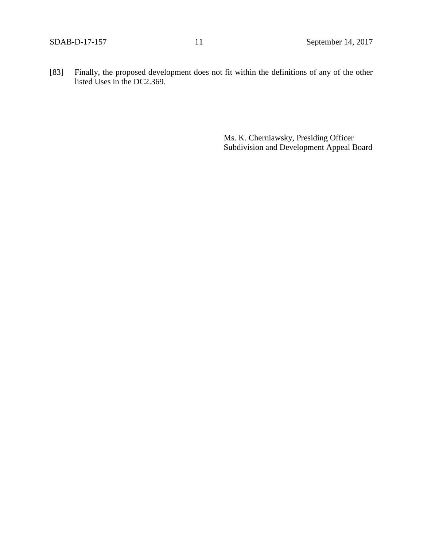[83] Finally, the proposed development does not fit within the definitions of any of the other listed Uses in the DC2.369.

> Ms. K. Cherniawsky, Presiding Officer Subdivision and Development Appeal Board